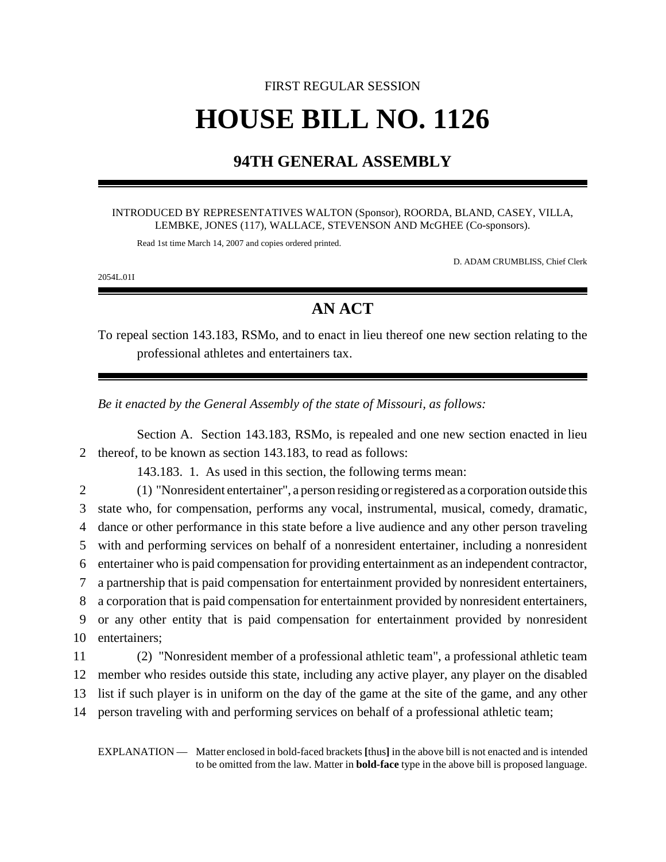# FIRST REGULAR SESSION **HOUSE BILL NO. 1126**

## **94TH GENERAL ASSEMBLY**

#### INTRODUCED BY REPRESENTATIVES WALTON (Sponsor), ROORDA, BLAND, CASEY, VILLA, LEMBKE, JONES (117), WALLACE, STEVENSON AND McGHEE (Co-sponsors).

Read 1st time March 14, 2007 and copies ordered printed.

D. ADAM CRUMBLISS, Chief Clerk

2054L.01I

# **AN ACT**

To repeal section 143.183, RSMo, and to enact in lieu thereof one new section relating to the professional athletes and entertainers tax.

*Be it enacted by the General Assembly of the state of Missouri, as follows:*

Section A. Section 143.183, RSMo, is repealed and one new section enacted in lieu 2 thereof, to be known as section 143.183, to read as follows:

143.183. 1. As used in this section, the following terms mean:

 (1) "Nonresident entertainer", a person residing or registered as a corporation outside this state who, for compensation, performs any vocal, instrumental, musical, comedy, dramatic, dance or other performance in this state before a live audience and any other person traveling with and performing services on behalf of a nonresident entertainer, including a nonresident entertainer who is paid compensation for providing entertainment as an independent contractor, a partnership that is paid compensation for entertainment provided by nonresident entertainers, a corporation that is paid compensation for entertainment provided by nonresident entertainers, or any other entity that is paid compensation for entertainment provided by nonresident entertainers; (2) "Nonresident member of a professional athletic team", a professional athletic team

12 member who resides outside this state, including any active player, any player on the disabled 13 list if such player is in uniform on the day of the game at the site of the game, and any other

14 person traveling with and performing services on behalf of a professional athletic team;

EXPLANATION — Matter enclosed in bold-faced brackets **[**thus**]** in the above bill is not enacted and is intended to be omitted from the law. Matter in **bold-face** type in the above bill is proposed language.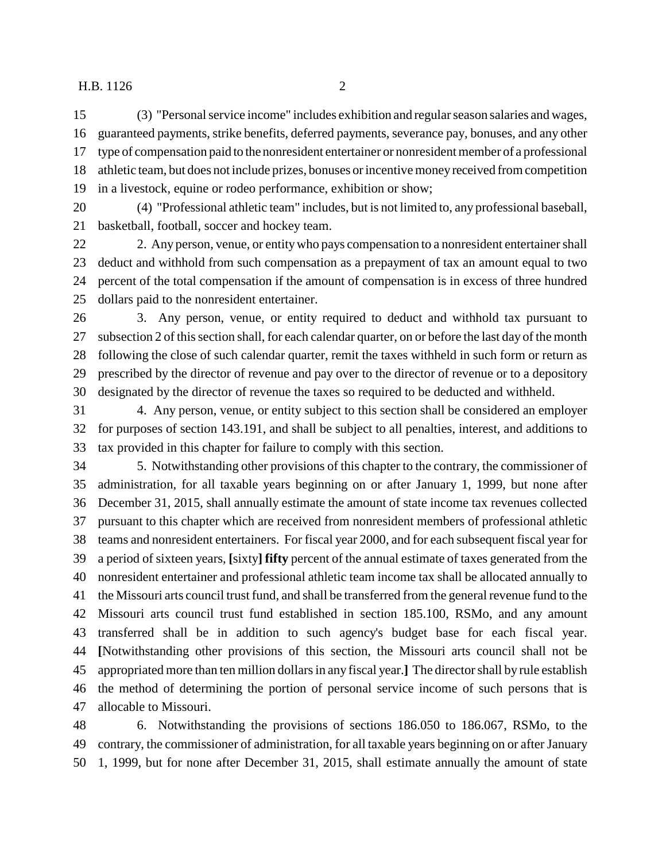### H.B. 1126 2

 (3) "Personal service income" includes exhibition and regular season salaries and wages, guaranteed payments, strike benefits, deferred payments, severance pay, bonuses, and any other type of compensation paid to the nonresident entertainer or nonresident member of a professional athletic team, but does not include prizes, bonuses or incentive money received from competition in a livestock, equine or rodeo performance, exhibition or show;

 (4) "Professional athletic team" includes, but is not limited to, any professional baseball, basketball, football, soccer and hockey team.

 2. Any person, venue, or entity who pays compensation to a nonresident entertainer shall deduct and withhold from such compensation as a prepayment of tax an amount equal to two percent of the total compensation if the amount of compensation is in excess of three hundred dollars paid to the nonresident entertainer.

 3. Any person, venue, or entity required to deduct and withhold tax pursuant to subsection 2 of this section shall, for each calendar quarter, on or before the last day of the month following the close of such calendar quarter, remit the taxes withheld in such form or return as prescribed by the director of revenue and pay over to the director of revenue or to a depository designated by the director of revenue the taxes so required to be deducted and withheld.

 4. Any person, venue, or entity subject to this section shall be considered an employer for purposes of section 143.191, and shall be subject to all penalties, interest, and additions to tax provided in this chapter for failure to comply with this section.

 5. Notwithstanding other provisions of this chapter to the contrary, the commissioner of administration, for all taxable years beginning on or after January 1, 1999, but none after December 31, 2015, shall annually estimate the amount of state income tax revenues collected pursuant to this chapter which are received from nonresident members of professional athletic teams and nonresident entertainers. For fiscal year 2000, and for each subsequent fiscal year for a period of sixteen years, **[**sixty**] fifty** percent of the annual estimate of taxes generated from the nonresident entertainer and professional athletic team income tax shall be allocated annually to the Missouri arts council trust fund, and shall be transferred from the general revenue fund to the Missouri arts council trust fund established in section 185.100, RSMo, and any amount transferred shall be in addition to such agency's budget base for each fiscal year. **[**Notwithstanding other provisions of this section, the Missouri arts council shall not be appropriated more than ten million dollars in any fiscal year.**]** The director shall by rule establish the method of determining the portion of personal service income of such persons that is allocable to Missouri.

 6. Notwithstanding the provisions of sections 186.050 to 186.067, RSMo, to the contrary, the commissioner of administration, for all taxable years beginning on or after January 1, 1999, but for none after December 31, 2015, shall estimate annually the amount of state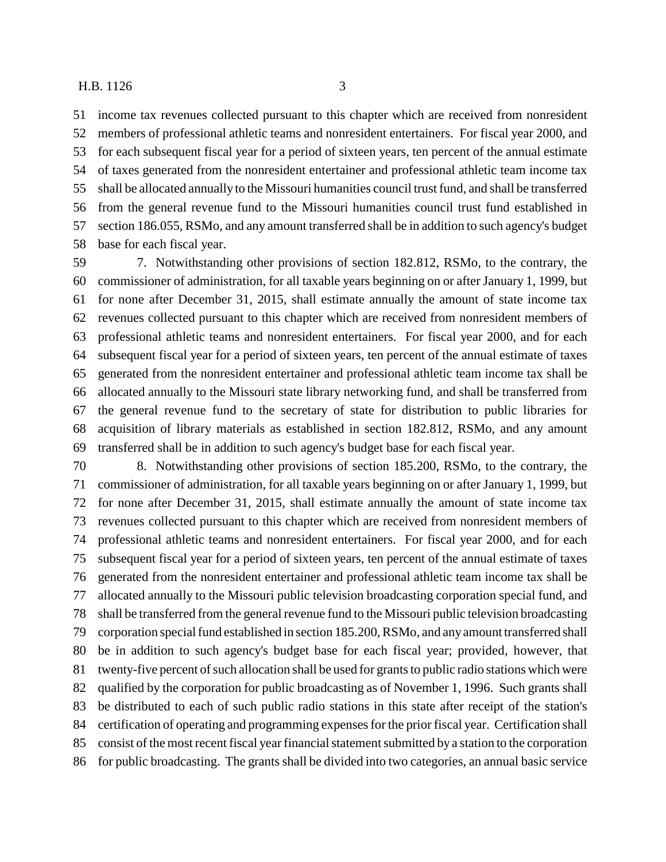income tax revenues collected pursuant to this chapter which are received from nonresident members of professional athletic teams and nonresident entertainers. For fiscal year 2000, and for each subsequent fiscal year for a period of sixteen years, ten percent of the annual estimate of taxes generated from the nonresident entertainer and professional athletic team income tax shall be allocated annually to the Missouri humanities council trust fund, and shall be transferred from the general revenue fund to the Missouri humanities council trust fund established in section 186.055, RSMo, and any amount transferred shall be in addition to such agency's budget base for each fiscal year.

 7. Notwithstanding other provisions of section 182.812, RSMo, to the contrary, the commissioner of administration, for all taxable years beginning on or after January 1, 1999, but for none after December 31, 2015, shall estimate annually the amount of state income tax revenues collected pursuant to this chapter which are received from nonresident members of professional athletic teams and nonresident entertainers. For fiscal year 2000, and for each subsequent fiscal year for a period of sixteen years, ten percent of the annual estimate of taxes generated from the nonresident entertainer and professional athletic team income tax shall be allocated annually to the Missouri state library networking fund, and shall be transferred from the general revenue fund to the secretary of state for distribution to public libraries for acquisition of library materials as established in section 182.812, RSMo, and any amount transferred shall be in addition to such agency's budget base for each fiscal year.

 8. Notwithstanding other provisions of section 185.200, RSMo, to the contrary, the commissioner of administration, for all taxable years beginning on or after January 1, 1999, but for none after December 31, 2015, shall estimate annually the amount of state income tax revenues collected pursuant to this chapter which are received from nonresident members of professional athletic teams and nonresident entertainers. For fiscal year 2000, and for each subsequent fiscal year for a period of sixteen years, ten percent of the annual estimate of taxes generated from the nonresident entertainer and professional athletic team income tax shall be allocated annually to the Missouri public television broadcasting corporation special fund, and shall be transferred from the general revenue fund to the Missouri public television broadcasting corporation special fund established in section 185.200, RSMo, and any amount transferred shall be in addition to such agency's budget base for each fiscal year; provided, however, that twenty-five percent of such allocation shall be used for grants to public radio stations which were qualified by the corporation for public broadcasting as of November 1, 1996. Such grants shall be distributed to each of such public radio stations in this state after receipt of the station's certification of operating and programming expenses for the prior fiscal year. Certification shall consist of the most recent fiscal year financial statement submitted by a station to the corporation for public broadcasting. The grants shall be divided into two categories, an annual basic service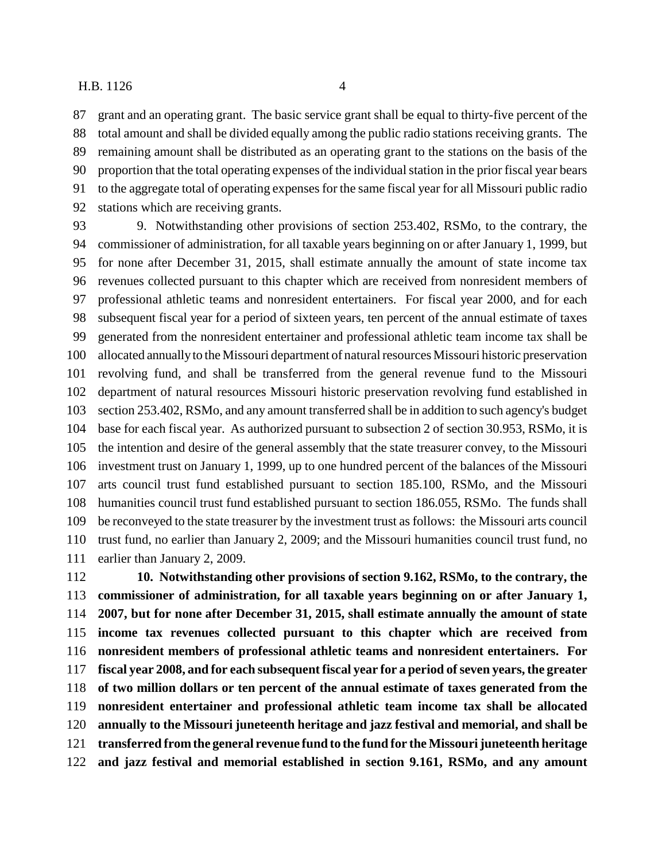#### H.B. 1126 4

 grant and an operating grant. The basic service grant shall be equal to thirty-five percent of the total amount and shall be divided equally among the public radio stations receiving grants. The remaining amount shall be distributed as an operating grant to the stations on the basis of the proportion that the total operating expenses of the individual station in the prior fiscal year bears to the aggregate total of operating expenses for the same fiscal year for all Missouri public radio stations which are receiving grants.

 9. Notwithstanding other provisions of section 253.402, RSMo, to the contrary, the commissioner of administration, for all taxable years beginning on or after January 1, 1999, but for none after December 31, 2015, shall estimate annually the amount of state income tax revenues collected pursuant to this chapter which are received from nonresident members of professional athletic teams and nonresident entertainers. For fiscal year 2000, and for each subsequent fiscal year for a period of sixteen years, ten percent of the annual estimate of taxes generated from the nonresident entertainer and professional athletic team income tax shall be allocated annually to the Missouri department of natural resources Missouri historic preservation revolving fund, and shall be transferred from the general revenue fund to the Missouri department of natural resources Missouri historic preservation revolving fund established in section 253.402, RSMo, and any amount transferred shall be in addition to such agency's budget base for each fiscal year. As authorized pursuant to subsection 2 of section 30.953, RSMo, it is the intention and desire of the general assembly that the state treasurer convey, to the Missouri investment trust on January 1, 1999, up to one hundred percent of the balances of the Missouri arts council trust fund established pursuant to section 185.100, RSMo, and the Missouri humanities council trust fund established pursuant to section 186.055, RSMo. The funds shall be reconveyed to the state treasurer by the investment trust as follows: the Missouri arts council trust fund, no earlier than January 2, 2009; and the Missouri humanities council trust fund, no earlier than January 2, 2009.

 **10. Notwithstanding other provisions of section 9.162, RSMo, to the contrary, the commissioner of administration, for all taxable years beginning on or after January 1, 2007, but for none after December 31, 2015, shall estimate annually the amount of state income tax revenues collected pursuant to this chapter which are received from nonresident members of professional athletic teams and nonresident entertainers. For fiscal year 2008, and for each subsequent fiscal year for a period of seven years, the greater of two million dollars or ten percent of the annual estimate of taxes generated from the nonresident entertainer and professional athletic team income tax shall be allocated annually to the Missouri juneteenth heritage and jazz festival and memorial, and shall be transferred from the general revenue fund to the fund for the Missouri juneteenth heritage and jazz festival and memorial established in section 9.161, RSMo, and any amount**